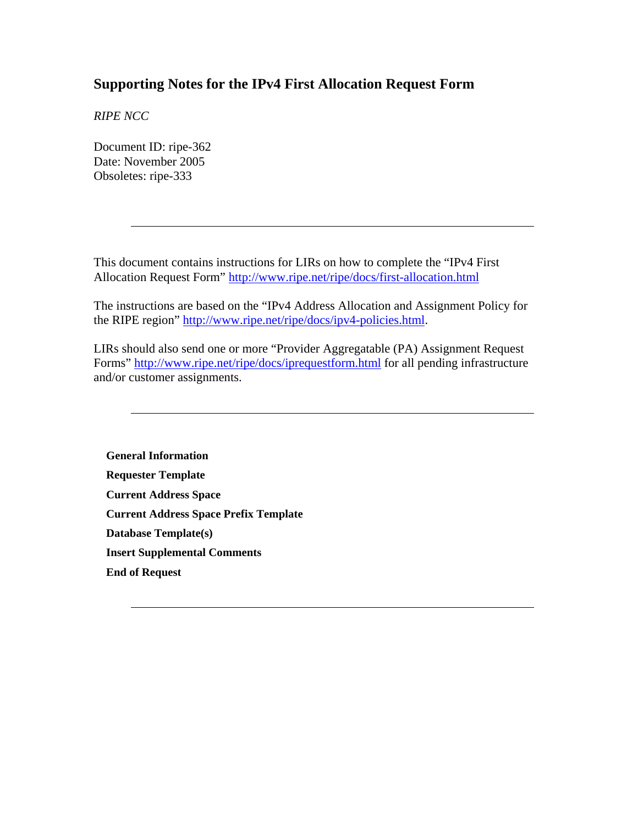### **Supporting Notes for the IPv4 First Allocation Request Form**

*RIPE NCC* 

Document ID: ripe-362 Date: November 2005 Obsoletes: ripe-333

This document contains instructions for LIRs on how to complete the "IPv4 First Allocation Request Form" <http://www.ripe.net/ripe/docs/first-allocation.html>

The instructions are based on the "IPv4 Address Allocation and Assignment Policy for the RIPE region" [http://www.ripe.net/ripe/docs/ipv4-policies.html.](http://www.ripe.net/ripe/docs/ipv4-policies.html)

LIRs should also send one or more "Provider Aggregatable (PA) Assignment Request Forms" <http://www.ripe.net/ripe/docs/iprequestform.html>for all pending infrastructure and/or customer assignments.

**[General Information](#page-1-0) [Requester Template](#page-1-0) [Current Address Space](#page-1-0) [Current Address Space Prefix Template](#page-1-0) [Database Template\(s\)](#page-2-0) [Insert Supplemental Comments](#page-3-0) [End of Request](#page-3-0)**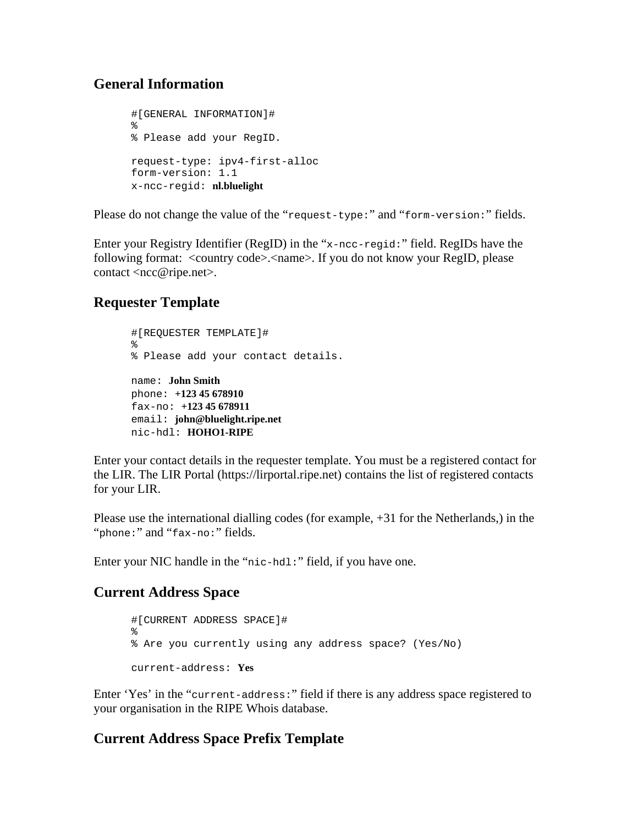### <span id="page-1-0"></span>**General Information**

```
#[GENERAL INFORMATION]# 
% 
% Please add your RegID. 
request-type: ipv4-first-alloc 
form-version: 1.1 
x-ncc-regid: nl.bluelight
```
Please do not change the value of the "request-type:" and "form-version:" fields.

Enter your Registry Identifier (RegID) in the "x-ncc-regid:" field. RegIDs have the following format: <country code>.<name>. If you do not know your RegID, please contact <ncc@ripe.net>.

# **Requester Template**

```
#[REQUESTER TEMPLATE]# 
% 
% Please add your contact details. 
name: John Smith
phone: +123 45 678910
fax-no: +123 45 678911
email: john@bluelight.ripe.net
nic-hdl: HOHO1-RIPE
```
Enter your contact details in the requester template. You must be a registered contact for the LIR. The LIR Portal (https://lirportal.ripe.net) contains the list of registered contacts for your LIR.

Please use the international dialling codes (for example, +31 for the Netherlands,) in the "phone:" and "fax-no:" fields.

Enter your NIC handle in the "nic-hdl:" field, if you have one.

# **Current Address Space**

```
#[CURRENT ADDRESS SPACE]# 
% 
% Are you currently using any address space? (Yes/No) 
current-address: Yes
```
Enter 'Yes' in the "current-address:" field if there is any address space registered to your organisation in the RIPE Whois database.

## **Current Address Space Prefix Template**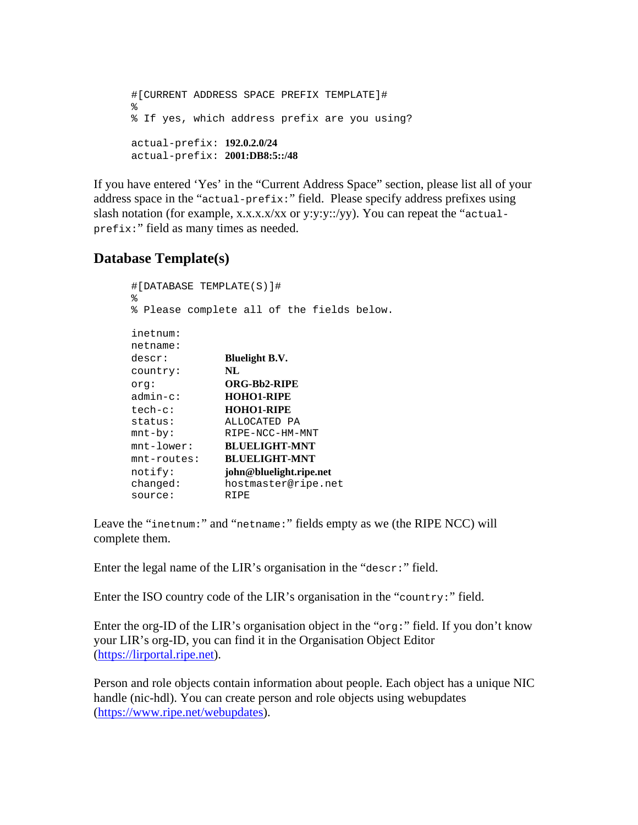```
 #[CURRENT ADDRESS SPACE PREFIX TEMPLATE]# 
\frac{1}{6} % If yes, which address prefix are you using? 
       actual-prefix: 192.0.2.0/24
       actual-prefix: 2001:DB8:5::/48
```
If you have entered 'Yes' in the "Current Address Space" section, please list all of your address space in the "actual-prefix:" field. Please specify address prefixes using slash notation (for example, x.x.x.x/xx or y:y:y::/yy). You can repeat the "actualprefix:" field as many times as needed.

## **Database Template(s)**

| #[DATABASE TEMPLATE(S)]#<br>୫ |                                          |
|-------------------------------|------------------------------------------|
| ి                             | Please complete all of the fields below. |
|                               |                                          |
| inetnum:                      |                                          |
| netname:                      |                                          |
| descr:                        | <b>Bluelight B.V.</b>                    |
| country:                      | NL                                       |
| orq:                          | <b>ORG-Bb2-RIPE</b>                      |
| admin-c:                      | <b>HOHO1-RIPE</b>                        |
| $tech-c$ :                    | <b>HOHO1-RIPE</b>                        |
| status:                       | ALLOCATED PA                             |
| $mnt-by$ :                    | RIPE-NCC-HM-MNT                          |
| $mnt-lower$ :                 | <b>BLUELIGHT-MNT</b>                     |
| $mnt$ -routes:                | <b>BLUELIGHT-MNT</b>                     |
| notify:                       | john@bluelight.ripe.net                  |
| changed:                      | hostmaster@ripe.net                      |
| source:                       | RIPE                                     |

Leave the "inetnum:" and "netname:" fields empty as we (the RIPE NCC) will complete them.

Enter the legal name of the LIR's organisation in the "descr:" field.

Enter the ISO country code of the LIR's organisation in the "country:" field.

Enter the org-ID of the LIR's organisation object in the "org:" field. If you don't know your LIR's org-ID, you can find it in the Organisation Object Editor ([https://lirportal.ripe.net](https://lirportal.ripe.net/)).

Person and role objects contain information about people. Each object has a unique NIC handle (nic-hdl). You can create person and role objects using webupdates ([https://www.ripe.net/webupdates\)](https://www.ripe.net/webupdates).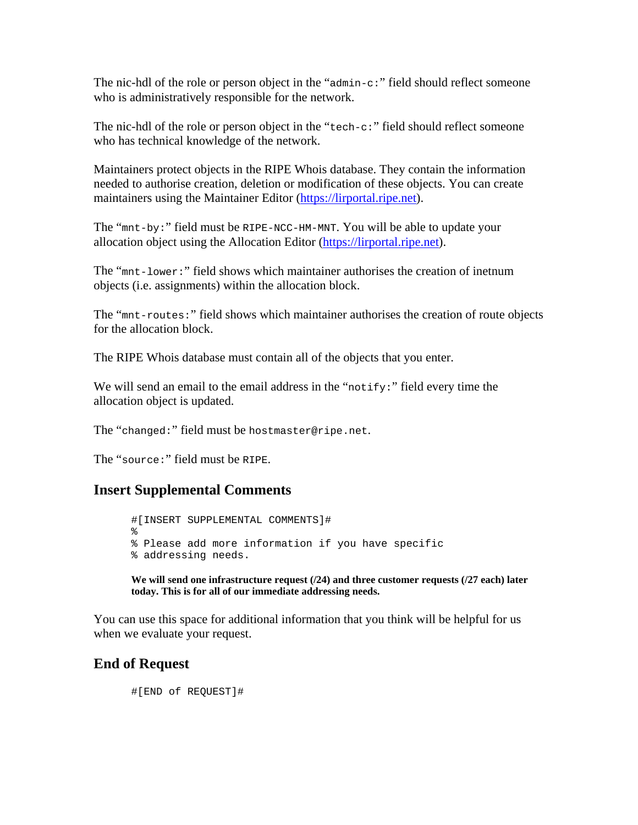<span id="page-3-0"></span>The nic-hdl of the role or person object in the "admin-c:" field should reflect someone who is administratively responsible for the network.

The nic-hdl of the role or person object in the "tech-c:" field should reflect someone who has technical knowledge of the network.

Maintainers protect objects in the RIPE Whois database. They contain the information needed to authorise creation, deletion or modification of these objects. You can create maintainers using the Maintainer Editor [\(https://lirportal.ripe.net\)](https://lirportal.ripe.net/).

The "mnt-by:" field must be RIPE-NCC-HM-MNT. You will be able to update your allocation object using the Allocation Editor [\(https://lirportal.ripe.net](https://lirportal.ripe.net/)).

The "mnt-lower:" field shows which maintainer authorises the creation of inetnum objects (i.e. assignments) within the allocation block.

The "mnt-routes:" field shows which maintainer authorises the creation of route objects for the allocation block.

The RIPE Whois database must contain all of the objects that you enter.

We will send an email to the email address in the "notify:" field every time the allocation object is updated.

The "changed:" field must be hostmaster@ripe.net.

The "source:" field must be RIPE.

#### **Insert Supplemental Comments**

```
#[INSERT SUPPLEMENTAL COMMENTS]# 
% 
% Please add more information if you have specific 
% addressing needs.
```
**We will send one infrastructure request (/24) and three customer requests (/27 each) later today. This is for all of our immediate addressing needs.** 

You can use this space for additional information that you think will be helpful for us when we evaluate your request.

#### **End of Request**

#[END of REQUEST]#